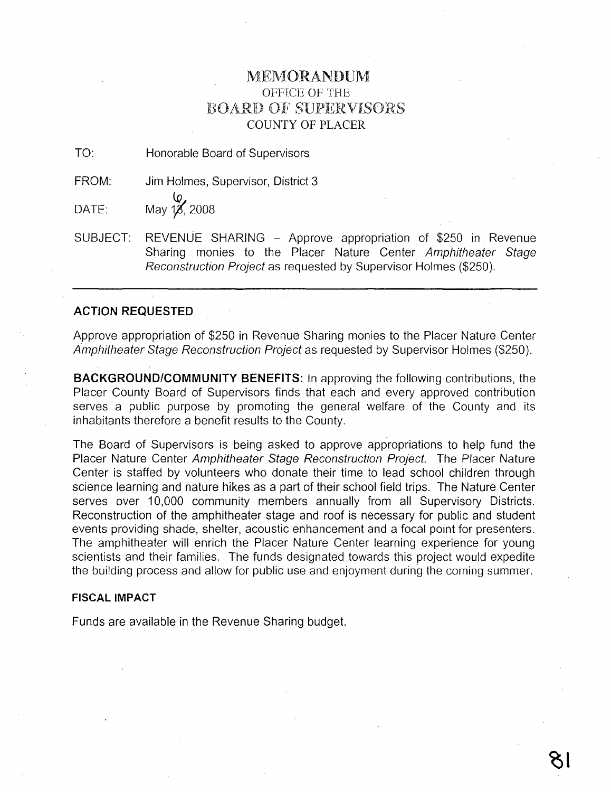### MEJ\10RANDUM OFFICE OF THE BOARD OF SUPERVISORS COUNTY OF PLACER

TO: Honorable Board of Supervisors

FROM: Jim Holmes, Supervisor, District 3

 $\bm\varphi$ DATE: May 1*8*, 2008

SUBJECT: REVENUE SHARING - Approve appropriation of \$250 in Revenue Sharing monies to the Placer Nature Center Amphitheater Stage Reconstruction Project as requested by Supervisor Holmes (\$250).

#### **ACTION REQUESTED**

Approve appropriation of \$250 in Revenue Sharing monies to the Placer Nature Center Amphitheater Stage Reconstruction Project as requested by Supervisor Holmes (\$250).

**BACKGROUND/COMMUNITY BENEFITS:** In approving the following contributions, the Placer County Board of Supervisors finds that each and every approved contribution serves a public purpose by promoting the general welfare of the County and its inhabitants therefore a benefit results to the County.

The Board of Supervisors is being asked to approve appropriations to help fund the Placer Nature Center Amphitheater Stage Reconstruction Project. The Placer Nature Center is staffed by volunteers who donate their time to lead school children through science learning and nature hikes as a part of their school field trips. The Nature Center serves over 10,000 community members annually from all Supervisory Districts. Reconstruction of the amphitheater stage and roof is necessary for public and student events providing shade, shelter, acoustic enhancement and a focal point for presenters. The amphitheater will enrich the Placer Nature Center learning experience for young scientists and their families. The funds designated towards this project would expedite the building process and allow for public use and enjoyment during the coming summer.

#### **FISCAL IMPACT**

Funds are available in the Revenue Sharing budget.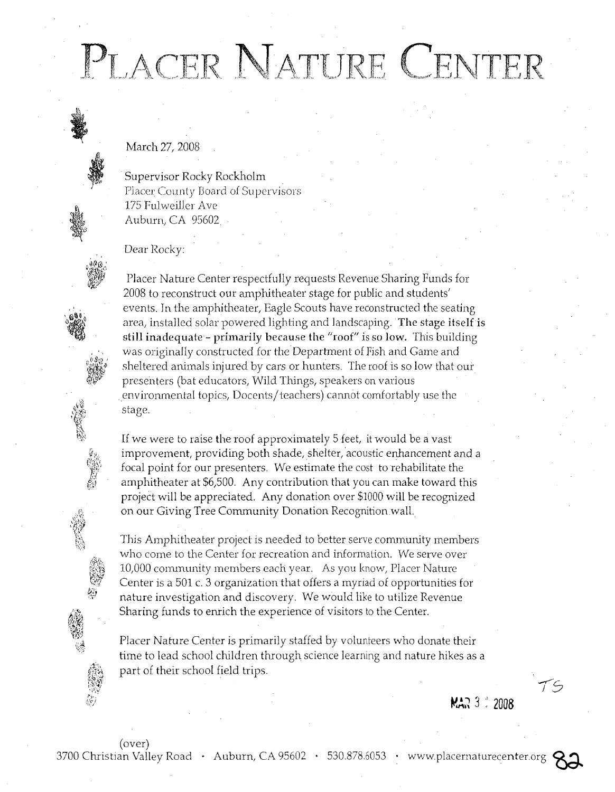## PLACER NATURE CENTER

March 27, 2008

Supervisor Rocky Rockholm Placer County Board of Supervisors 175 FulwejJJer Ave Auburn, CA 95602

Dear Rocky:

)<br>این

"f;)

, " ,,(}~'v, , I",\_,'I~\",~ ;-~ *&iTo} "* "lj

Placer Nature Center respectfully requests Revenue Sharing Funds for 2008 to reconstruct our amphitheater stage for public and students' events. Tn the amphitheater, Eagle Scouts have reconstructed the seating area, installed solar powered lighting and landscaping. The stage itself is still inadequate - primarily because the "roof" is so low. This building was originally constructed for the Department of Fish and Game and sheltered animals injured by cars or hunters. The roof is so low that our presenters (bat educators, Wild Things, speakers on various environmental topics, Docents/teachers) cannot comfortably use the stage.

If we were to raise the roof approximately 5 feet, it would be a vast improvement, providing both shade, shelter, acoustic enhancement and a focal point for our presenters. We estimate the cost to rehabilitate the amphitheater at \$6,500. Any contribution that you can make toward this project will be appreciated. Any donation over \$1000 will be recognized on our Giving Tree Community Donation Recognition wall.

This Amphitheater project is needed to better serve community members who come to the Center for recreation and information. We serve over 10,000 conununity members each year. As you know, Placer Nature Center is a 501 c. 3 organization tha t offers a myriad *ot* opportunities for nature investigation and discovery. We would like to utilize Revenue Sharing funds to emich the experience of visitors to the Center.

Placer Nature Center is primarily staffed by volunteers who donate their time to lead school children through science learning and nature hikes as a part of their school field trips.

(over)

3700 Christian Valley Road · Auburn, CA 95602 · 530.878.6053 · www.placernaturecenter.org



*-IS*

**MAR** 3 .1 2008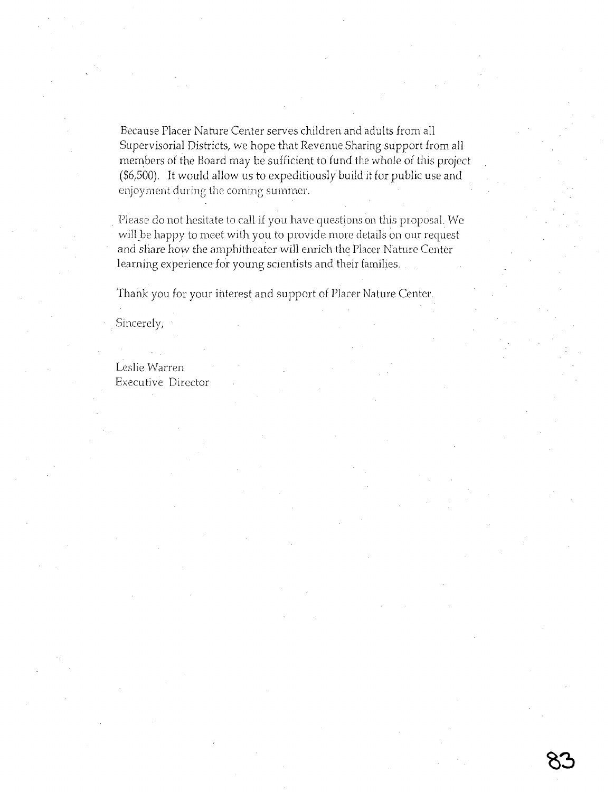Because Placer Nature Center serves children and adults from all Supervisorial Districts, we hope that Revenue Sharing support from all members of the Board may be sufficient to fund the whole of this project (\$6,500). It would allow us to expeditiously build it for public use and enjoyment during the coming surnrncr.

Please do not hesitate to call if you have questions on this proposal. We will be happy to meet with you to provide more details on our request and share how the amphitheater will enrich the Placer Nature Center learning experience for young scientists and their families.

Thank you for your interest and support of Placer Nature Center.

Sincerely;

Leslie Warren Executive Director